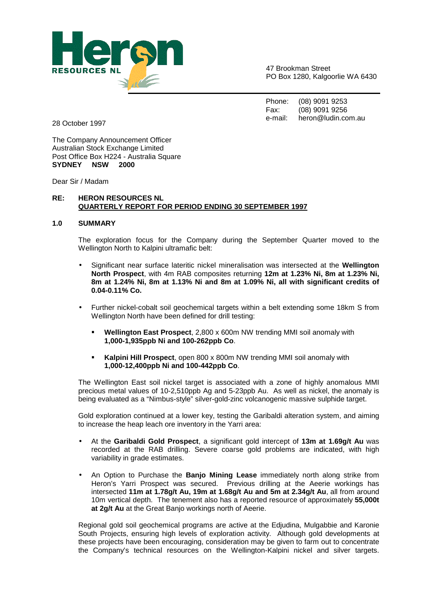

47 Brookman Street PO Box 1280, Kalgoorlie WA 6430

Phone: (08) 9091 9253 Fax: (08) 9091 9256 e-mail: heron@ludin.com.au

28 October 1997

The Company Announcement Officer Australian Stock Exchange Limited Post Office Box H224 - Australia Square **SYDNEY NSW 2000** 

Dear Sir / Madam

## **RE: HERON RESOURCES NL QUARTERLY REPORT FOR PERIOD ENDING 30 SEPTEMBER 1997**

#### **1.0 SUMMARY**

The exploration focus for the Company during the September Quarter moved to the Wellington North to Kalpini ultramafic belt:

- Significant near surface lateritic nickel mineralisation was intersected at the **Wellington North Prospect**, with 4m RAB composites returning **12m at 1.23% Ni, 8m at 1.23% Ni, 8m at 1.24% Ni, 8m at 1.13% Ni and 8m at 1.09% Ni, all with significant credits of 0.04-0.11% Co.**
- Further nickel-cobalt soil geochemical targets within a belt extending some 18km S from Wellington North have been defined for drill testing:
	- - **Wellington East Prospect**, 2,800 x 600m NW trending MMI soil anomaly with **1,000-1,935ppb Ni and 100-262ppb Co**.
	- - **Kalpini Hill Prospect**, open 800 x 800m NW trending MMI soil anomaly with **1,000-12,400ppb Ni and 100-442ppb Co**.

The Wellington East soil nickel target is associated with a zone of highly anomalous MMI precious metal values of 10-2,510ppb Ag and 5-23ppb Au. As well as nickel, the anomaly is being evaluated as a "Nimbus-style" silver-gold-zinc volcanogenic massive sulphide target.

Gold exploration continued at a lower key, testing the Garibaldi alteration system, and aiming to increase the heap leach ore inventory in the Yarri area:

- At the **Garibaldi Gold Prospect**, a significant gold intercept of **13m at 1.69g/t Au** was recorded at the RAB drilling. Severe coarse gold problems are indicated, with high variability in grade estimates.
- An Option to Purchase the **Banjo Mining Lease** immediately north along strike from Heron's Yarri Prospect was secured. Previous drilling at the Aeerie workings has intersected **11m at 1.78g/t Au, 19m at 1.68g/t Au and 5m at 2.34g/t Au**, all from around 10m vertical depth. The tenement also has a reported resource of approximately **55,000t at 2g/t Au** at the Great Banjo workings north of Aeerie.

Regional gold soil geochemical programs are active at the Edjudina, Mulgabbie and Karonie South Projects, ensuring high levels of exploration activity. Although gold developments at these projects have been encouraging, consideration may be given to farm out to concentrate the Company's technical resources on the Wellington-Kalpini nickel and silver targets.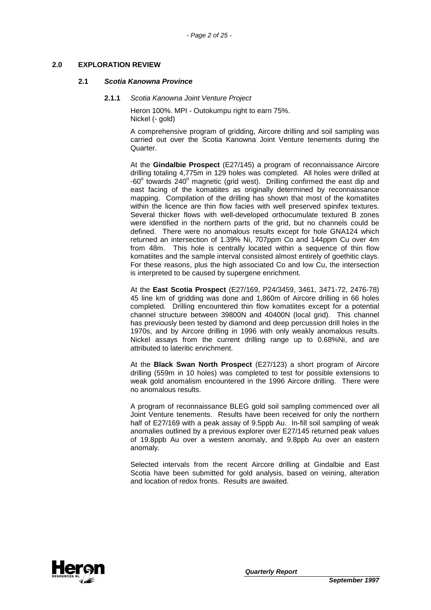### **2.0 EXPLORATION REVIEW**

#### **2.1 Scotia Kanowna Province**

**2.1.1** Scotia Kanowna Joint Venture Project

Heron 100%. MPI - Outokumpu right to earn 75%. Nickel (- gold)

A comprehensive program of gridding, Aircore drilling and soil sampling was carried out over the Scotia Kanowna Joint Venture tenements during the Quarter.

At the **Gindalbie Prospect** (E27/145) a program of reconnaissance Aircore drilling totaling 4,775m in 129 holes was completed. All holes were drilled at -60 $^{\circ}$  towards 240 $^{\circ}$  magnetic (grid west). Drilling confirmed the east dip and east facing of the komatiites as originally determined by reconnaissance mapping. Compilation of the drilling has shown that most of the komatiites within the licence are thin flow facies with well preserved spinifex textures. Several thicker flows with well-developed orthocumulate textured B zones were identified in the northern parts of the grid, but no channels could be defined. There were no anomalous results except for hole GNA124 which returned an intersection of 1.39% Ni, 707ppm Co and 144ppm Cu over 4m from 48m. This hole is centrally located within a sequence of thin flow komatiites and the sample interval consisted almost entirely of goethitic clays. For these reasons, plus the high associated Co and low Cu, the intersection is interpreted to be caused by supergene enrichment.

At the **East Scotia Prospect** (E27/169, P24/3459, 3461, 3471-72, 2476-78) 45 line km of gridding was done and 1,860m of Aircore drilling in 66 holes completed. Drilling encountered thin flow komatiites except for a potential channel structure between 39800N and 40400N (local grid). This channel has previously been tested by diamond and deep percussion drill holes in the 1970s, and by Aircore drilling in 1996 with only weakly anomalous results. Nickel assays from the current drilling range up to 0.68%Ni, and are attributed to lateritic enrichment.

At the **Black Swan North Prospect** (E27/123) a short program of Aircore drilling (559m in 10 holes) was completed to test for possible extensions to weak gold anomalism encountered in the 1996 Aircore drilling. There were no anomalous results.

A program of reconnaissance BLEG gold soil sampling commenced over all Joint Venture tenements. Results have been received for only the northern half of E27/169 with a peak assay of 9.5ppb Au. In-fill soil sampling of weak anomalies outlined by a previous explorer over E27/145 returned peak values of 19.8ppb Au over a western anomaly, and 9.8ppb Au over an eastern anomaly.

Selected intervals from the recent Aircore drilling at Gindalbie and East Scotia have been submitted for gold analysis, based on veining, alteration and location of redox fronts. Results are awaited.

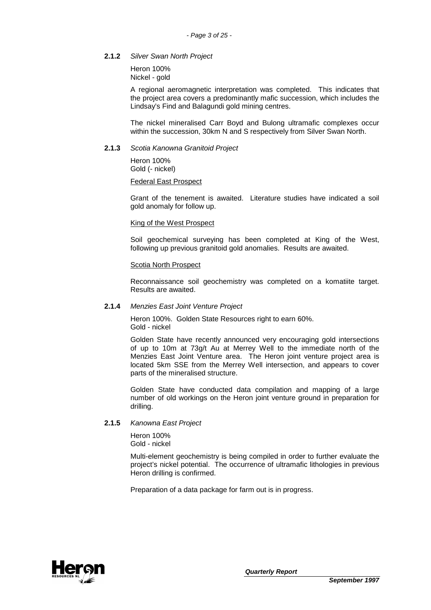#### **2.1.2** Silver Swan North Project

Heron 100% Nickel - gold

A regional aeromagnetic interpretation was completed. This indicates that the project area covers a predominantly mafic succession, which includes the Lindsay's Find and Balagundi gold mining centres.

The nickel mineralised Carr Boyd and Bulong ultramafic complexes occur within the succession, 30km N and S respectively from Silver Swan North.

#### **2.1.3** Scotia Kanowna Granitoid Project

Heron 100% Gold (- nickel)

#### Federal East Prospect

Grant of the tenement is awaited. Literature studies have indicated a soil gold anomaly for follow up.

#### King of the West Prospect

Soil geochemical surveying has been completed at King of the West, following up previous granitoid gold anomalies. Results are awaited.

#### Scotia North Prospect

Reconnaissance soil geochemistry was completed on a komatiite target. Results are awaited.

#### **2.1.4** Menzies East Joint Venture Project

Heron 100%. Golden State Resources right to earn 60%. Gold - nickel

Golden State have recently announced very encouraging gold intersections of up to 10m at 73g/t Au at Merrey Well to the immediate north of the Menzies East Joint Venture area. The Heron joint venture project area is located 5km SSE from the Merrey Well intersection, and appears to cover parts of the mineralised structure.

Golden State have conducted data compilation and mapping of a large number of old workings on the Heron joint venture ground in preparation for drilling.

#### **2.1.5** Kanowna East Project

Heron 100% Gold - nickel

Multi-element geochemistry is being compiled in order to further evaluate the project's nickel potential. The occurrence of ultramafic lithologies in previous Heron drilling is confirmed.

Preparation of a data package for farm out is in progress.

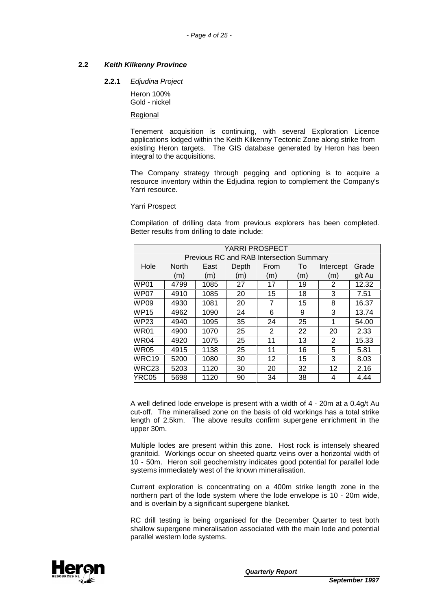### **2.2 Keith Kilkenny Province**

#### **2.2.1** Edjudina Project

Heron 100% Gold - nickel

Regional

Tenement acquisition is continuing, with several Exploration Licence applications lodged within the Keith Kilkenny Tectonic Zone along strike from existing Heron targets. The GIS database generated by Heron has been integral to the acquisitions.

The Company strategy through pegging and optioning is to acquire a resource inventory within the Edjudina region to complement the Company's Yarri resource.

#### Yarri Prospect

Compilation of drilling data from previous explorers has been completed. Better results from drilling to date include:

|       | <b>YARRI PROSPECT</b> |      |                                          |                |     |                |        |
|-------|-----------------------|------|------------------------------------------|----------------|-----|----------------|--------|
|       |                       |      | Previous RC and RAB Intersection Summary |                |     |                |        |
| Hole  | <b>North</b>          | East | Depth                                    | From           | To  | Intercept      | Grade  |
|       | (m)                   | (m)  | (m)                                      | (m)            | (m) | (m)            | g/t Au |
| WP01  | 4799                  | 1085 | 27                                       | 17             | 19  | $\overline{2}$ | 12.32  |
| WP07  | 4910                  | 1085 | 20                                       | 15             | 18  | 3              | 7.51   |
| WP09  | 4930                  | 1081 | 20                                       | 7              | 15  | 8              | 16.37  |
| WP15  | 4962                  | 1090 | 24                                       | 6              | 9   | 3              | 13.74  |
| WP23  | 4940                  | 1095 | 35                                       | 24             | 25  | 1              | 54.00  |
| WR01  | 4900                  | 1070 | 25                                       | $\overline{2}$ | 22  | 20             | 2.33   |
| WR04  | 4920                  | 1075 | 25                                       | 11             | 13  | 2              | 15.33  |
| WR05  | 4915                  | 1138 | 25                                       | 11             | 16  | 5              | 5.81   |
| WRC19 | 5200                  | 1080 | 30                                       | 12             | 15  | 3              | 8.03   |
| WRC23 | 5203                  | 1120 | 30                                       | 20             | 32  | 12             | 2.16   |
| YRC05 | 5698                  | 1120 | 90                                       | 34             | 38  | 4              | 4.44   |

A well defined lode envelope is present with a width of 4 - 20m at a 0.4g/t Au cut-off. The mineralised zone on the basis of old workings has a total strike length of 2.5km. The above results confirm supergene enrichment in the upper 30m.

Multiple lodes are present within this zone. Host rock is intensely sheared granitoid. Workings occur on sheeted quartz veins over a horizontal width of 10 - 50m. Heron soil geochemistry indicates good potential for parallel lode systems immediately west of the known mineralisation.

Current exploration is concentrating on a 400m strike length zone in the northern part of the lode system where the lode envelope is 10 - 20m wide, and is overlain by a significant supergene blanket.

RC drill testing is being organised for the December Quarter to test both shallow supergene mineralisation associated with the main lode and potential parallel western lode systems.

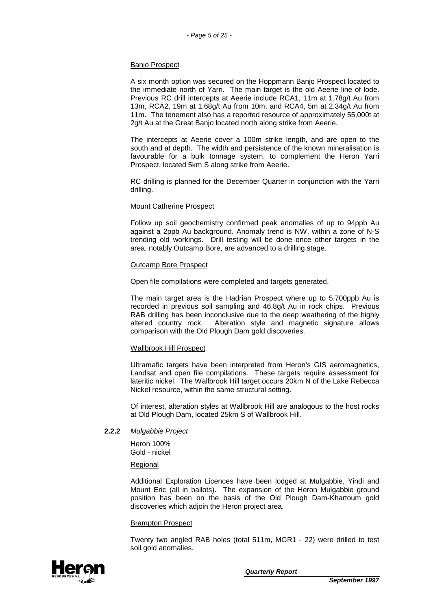#### Banjo Prospect

A six month option was secured on the Hoppmann Banjo Prospect located to the immediate north of Yarri. The main target is the old Aeerie line of lode. Previous RC drill intercepts at Aeerie include RCA1, 11m at 1.78g/t Au from 13m, RCA2, 19m at 1.68g/t Au from 10m, and RCA4, 5m at 2.34g/t Au from 11m. The tenement also has a reported resource of approximately 55,000t at 2g/t Au at the Great Banjo located north along strike from Aeerie.

The intercepts at Aeerie cover a 100m strike length, and are open to the south and at depth. The width and persistence of the known mineralisation is favourable for a bulk tonnage system, to complement the Heron Yarri Prospect, located 5km S along strike from Aeerie.

RC drilling is planned for the December Quarter in conjunction with the Yarri drilling.

#### Mount Catherine Prospect

Follow up soil geochemistry confirmed peak anomalies of up to 94ppb Au against a 2ppb Au background. Anomaly trend is NW, within a zone of N-S trending old workings. Drill testing will be done once other targets in the area, notably Outcamp Bore, are advanced to a drilling stage.

#### Outcamp Bore Prospect

Open file compilations were completed and targets generated.

The main target area is the Hadrian Prospect where up to 5,700ppb Au is recorded in previous soil sampling and 46.8g/t Au in rock chips. Previous RAB drilling has been inconclusive due to the deep weathering of the highly altered country rock. Alteration style and magnetic signature allows comparison with the Old Plough Dam gold discoveries.

#### Wallbrook Hill Prospect

Ultramafic targets have been interpreted from Heron's GIS aeromagnetics, Landsat and open file compilations. These targets require assessment for lateritic nickel. The Wallbrook Hill target occurs 20km N of the Lake Rebecca Nickel resource, within the same structural setting.

Of interest, alteration styles at Wallbrook Hill are analogous to the host rocks at Old Plough Dam, located 25km S of Wallbrook Hill.

#### **2.2.2** Mulgabbie Project

Heron 100% Gold - nickel

#### Regional

Additional Exploration Licences have been lodged at Mulgabbie, Yindi and Mount Eric (all in ballots). The expansion of the Heron Mulgabbie ground position has been on the basis of the Old Plough Dam-Khartoum gold discoveries which adjoin the Heron project area.

#### Brampton Prospect

Twenty two angled RAB holes (total 511m, MGR1 - 22) were drilled to test soil gold anomalies.

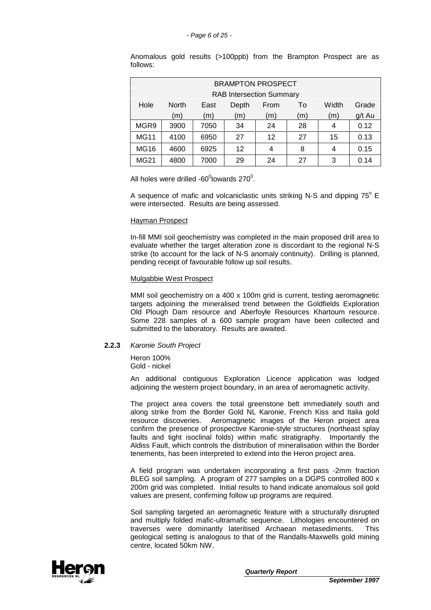Anomalous gold results (>100ppb) from the Brampton Prospect are as follows:

| <b>BRAMPTON PROSPECT</b> |              |      |       |                                 |     |       |        |
|--------------------------|--------------|------|-------|---------------------------------|-----|-------|--------|
|                          |              |      |       | <b>RAB Intersection Summary</b> |     |       |        |
| Hole                     | <b>North</b> | East | Depth | From                            | To  | Width | Grade  |
|                          | (m)          | (m)  | (m)   | (m)                             | (m) | (m)   | g/t Au |
| MGR9                     | 3900         | 7050 | 34    | 24                              | 28  | 4     | 0.12   |
| <b>MG11</b>              | 4100         | 6950 | 27    | 12                              | 27  | 15    | 0.13   |
| <b>MG16</b>              | 4600         | 6925 | 12    | 4                               | 8   | 4     | 0.15   |
| <b>MG21</b>              | 4800         | 7000 | 29    | 24                              | 27  | 3     | 0.14   |

All holes were drilled -60 $^0$ towards 270 $^0$ .

A sequence of mafic and volcaniclastic units striking N-S and dipping  $75^{\circ}$  E were intersected. Results are being assessed.

#### Hayman Prospect

In-fill MMI soil geochemistry was completed in the main proposed drill area to evaluate whether the target alteration zone is discordant to the regional N-S strike (to account for the lack of N-S anomaly continuity). Drilling is planned, pending receipt of favourable follow up soil results.

#### Mulgabbie West Prospect

MMI soil geochemistry on a 400 x 100m grid is current, testing aeromagnetic targets adjoining the mineralised trend between the Goldfields Exploration Old Plough Dam resource and Aberfoyle Resources Khartoum resource. Some 228 samples of a 600 sample program have been collected and submitted to the laboratory. Results are awaited.

#### **2.2.3** Karonie South Project

Heron 100% Gold - nickel

An additional contiguous Exploration Licence application was lodged adjoining the western project boundary, in an area of aeromagnetic activity.

The project area covers the total greenstone belt immediately south and along strike from the Border Gold NL Karonie, French Kiss and Italia gold resource discoveries. Aeromagnetic images of the Heron project area confirm the presence of prospective Karonie-style structures (northeast splay faults and tight isoclinal folds) within mafic stratigraphy. Importantly the Aldiss Fault, which controls the distribution of mineralisation within the Border tenements, has been interpreted to extend into the Heron project area.

A field program was undertaken incorporating a first pass -2mm fraction BLEG soil sampling. A program of 277 samples on a DGPS controlled 800 x 200m grid was completed. Initial results to hand indicate anomalous soil gold values are present, confirming follow up programs are required.

Soil sampling targeted an aeromagnetic feature with a structurally disrupted and multiply folded mafic-ultramafic sequence. Lithologies encountered on traverses were dominantly lateritised Archaean metasediments. This geological setting is analogous to that of the Randalls-Maxwells gold mining centre, located 50km NW.

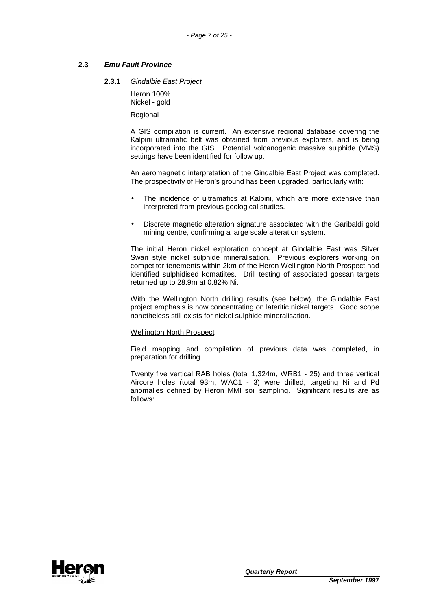# **2.3 Emu Fault Province**

**2.3.1** Gindalbie East Project

Heron 100% Nickel - gold

**Regional** 

A GIS compilation is current. An extensive regional database covering the Kalpini ultramafic belt was obtained from previous explorers, and is being incorporated into the GIS. Potential volcanogenic massive sulphide (VMS) settings have been identified for follow up.

An aeromagnetic interpretation of the Gindalbie East Project was completed. The prospectivity of Heron's ground has been upgraded, particularly with:

- The incidence of ultramafics at Kalpini, which are more extensive than interpreted from previous geological studies.
- Discrete magnetic alteration signature associated with the Garibaldi gold mining centre, confirming a large scale alteration system.

The initial Heron nickel exploration concept at Gindalbie East was Silver Swan style nickel sulphide mineralisation. Previous explorers working on competitor tenements within 2km of the Heron Wellington North Prospect had identified sulphidised komatiites. Drill testing of associated gossan targets returned up to 28.9m at 0.82% Ni.

With the Wellington North drilling results (see below), the Gindalbie East project emphasis is now concentrating on lateritic nickel targets. Good scope nonetheless still exists for nickel sulphide mineralisation.

#### Wellington North Prospect

Field mapping and compilation of previous data was completed, in preparation for drilling.

Twenty five vertical RAB holes (total 1,324m, WRB1 - 25) and three vertical Aircore holes (total 93m, WAC1 - 3) were drilled, targeting Ni and Pd anomalies defined by Heron MMI soil sampling. Significant results are as follows:

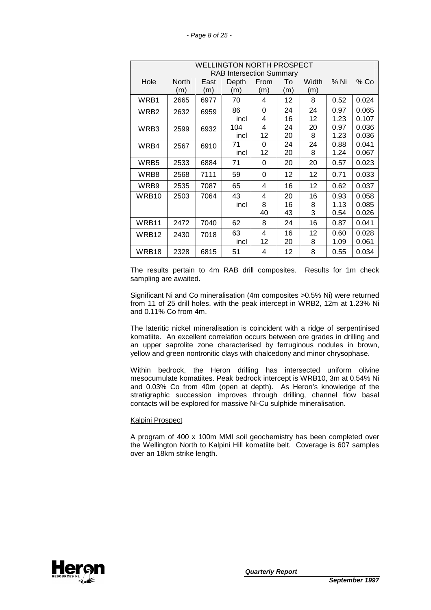|                   | WELLINGTON NORTH PROSPECT       |      |       |      |     |       |      |       |
|-------------------|---------------------------------|------|-------|------|-----|-------|------|-------|
|                   | <b>RAB Intersection Summary</b> |      |       |      |     |       |      |       |
| Hole              | <b>North</b>                    | East | Depth | From | To  | Width | % Ni | % Co  |
|                   | (m)                             | (m)  | (m)   | (m)  | (m) | (m)   |      |       |
| WRB1              | 2665                            | 6977 | 70    | 4    | 12  | 8     | 0.52 | 0.024 |
| WRB2              | 2632                            | 6959 | 86    | 0    | 24  | 24    | 0.97 | 0.065 |
|                   |                                 |      | incl  | 4    | 16  | 12    | 1.23 | 0.107 |
| WRB3              | 2599                            | 6932 | 104   | 4    | 24  | 20    | 0.97 | 0.036 |
|                   |                                 |      | incl  | 12   | 20  | 8     | 1.23 | 0.036 |
| WRB4              | 2567                            | 6910 | 71    | 0    | 24  | 24    | 0.88 | 0.041 |
|                   |                                 |      | incl  | 12   | 20  | 8     | 1.24 | 0.067 |
| WRB5              | 2533                            | 6884 | 71    | 0    | 20  | 20    | 0.57 | 0.023 |
| WRB8              | 2568                            | 7111 | 59    | 0    | 12  | 12    | 0.71 | 0.033 |
| WRB9              | 2535                            | 7087 | 65    | 4    | 16  | 12    | 0.62 | 0.037 |
| WRB <sub>10</sub> | 2503                            | 7064 | 43    | 4    | 20  | 16    | 0.93 | 0.058 |
|                   |                                 |      | incl  | 8    | 16  | 8     | 1.13 | 0.085 |
|                   |                                 |      |       | 40   | 43  | 3     | 0.54 | 0.026 |
| WRB11             | 2472                            | 7040 | 62    | 8    | 24  | 16    | 0.87 | 0.041 |
| WRB <sub>12</sub> | 2430                            | 7018 | 63    | 4    | 16  | 12    | 0.60 | 0.028 |
|                   |                                 |      | incl  | 12   | 20  | 8     | 1.09 | 0.061 |
| WRB <sub>18</sub> | 2328                            | 6815 | 51    | 4    | 12  | 8     | 0.55 | 0.034 |

The results pertain to 4m RAB drill composites. Results for 1m check sampling are awaited.

Significant Ni and Co mineralisation (4m composites >0.5% Ni) were returned from 11 of 25 drill holes, with the peak intercept in WRB2, 12m at 1.23% Ni and 0.11% Co from 4m.

The lateritic nickel mineralisation is coincident with a ridge of serpentinised komatiite. An excellent correlation occurs between ore grades in drilling and an upper saprolite zone characterised by ferruginous nodules in brown, yellow and green nontronitic clays with chalcedony and minor chrysophase.

Within bedrock, the Heron drilling has intersected uniform olivine mesocumulate komatiites. Peak bedrock intercept is WRB10, 3m at 0.54% Ni and 0.03% Co from 40m (open at depth). As Heron's knowledge of the stratigraphic succession improves through drilling, channel flow basal contacts will be explored for massive Ni-Cu sulphide mineralisation.

#### Kalpini Prospect

A program of 400 x 100m MMI soil geochemistry has been completed over the Wellington North to Kalpini Hill komatiite belt. Coverage is 607 samples over an 18km strike length.

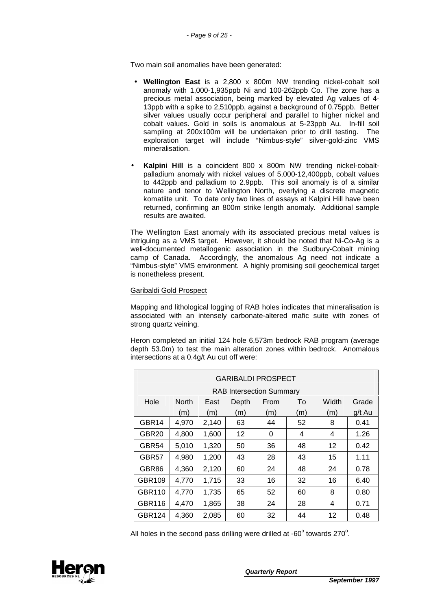Two main soil anomalies have been generated:

- **Wellington East** is a 2,800 x 800m NW trending nickel-cobalt soil anomaly with 1,000-1,935ppb Ni and 100-262ppb Co. The zone has a precious metal association, being marked by elevated Ag values of 4- 13ppb with a spike to 2,510ppb, against a background of 0.75ppb. Better silver values usually occur peripheral and parallel to higher nickel and cobalt values. Gold in soils is anomalous at 5-23ppb Au. In-fill soil sampling at 200x100m will be undertaken prior to drill testing. The exploration target will include "Nimbus-style" silver-gold-zinc VMS mineralisation.
- **Kalpini Hill** is a coincident 800 x 800m NW trending nickel-cobaltpalladium anomaly with nickel values of 5,000-12,400ppb, cobalt values to 442ppb and palladium to 2.9ppb. This soil anomaly is of a similar nature and tenor to Wellington North, overlying a discrete magnetic komatiite unit. To date only two lines of assays at Kalpini Hill have been returned, confirming an 800m strike length anomaly. Additional sample results are awaited.

The Wellington East anomaly with its associated precious metal values is intriguing as a VMS target. However, it should be noted that Ni-Co-Ag is a well-documented metallogenic association in the Sudbury-Cobalt mining camp of Canada. Accordingly, the anomalous Ag need not indicate a "Nimbus-style" VMS environment. A highly promising soil geochemical target is nonetheless present.

## Garibaldi Gold Prospect

Mapping and lithological logging of RAB holes indicates that mineralisation is associated with an intensely carbonate-altered mafic suite with zones of strong quartz veining.

Heron completed an initial 124 hole 6,573m bedrock RAB program (average depth 53.0m) to test the main alteration zones within bedrock. Anomalous intersections at a 0.4g/t Au cut off were:

| <b>GARIBALDI PROSPECT</b> |              |       |       |                                 |     |       |        |
|---------------------------|--------------|-------|-------|---------------------------------|-----|-------|--------|
|                           |              |       |       | <b>RAB Intersection Summary</b> |     |       |        |
| Hole                      | <b>North</b> | East  | Depth | From                            | To  | Width | Grade  |
|                           | (m)          | (m)   | (m)   | (m)                             | (m) | (m)   | g/t Au |
| GBR14                     | 4,970        | 2,140 | 63    | 44                              | 52  | 8     | 0.41   |
| GBR <sub>20</sub>         | 4,800        | 1,600 | 12    | 0                               | 4   | 4     | 1.26   |
| GBR <sub>54</sub>         | 5,010        | 1,320 | 50    | 36                              | 48  | 12    | 0.42   |
| GBR <sub>57</sub>         | 4,980        | 1,200 | 43    | 28                              | 43  | 15    | 1.11   |
| GBR86                     | 4,360        | 2,120 | 60    | 24                              | 48  | 24    | 0.78   |
| GBR109                    | 4,770        | 1,715 | 33    | 16                              | 32  | 16    | 6.40   |
| GBR110                    | 4,770        | 1,735 | 65    | 52                              | 60  | 8     | 0.80   |
| <b>GBR116</b>             | 4,470        | 1,865 | 38    | 24                              | 28  | 4     | 0.71   |
| GBR124                    | 4,360        | 2,085 | 60    | 32                              | 44  | 12    | 0.48   |

All holes in the second pass drilling were drilled at -60 $^{\circ}$  towards 270 $^{\circ}$ .

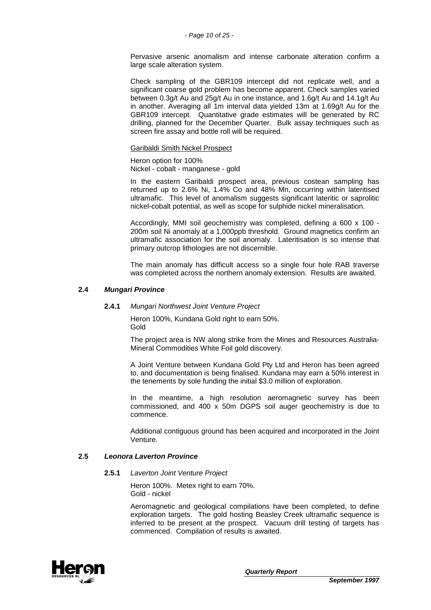Pervasive arsenic anomalism and intense carbonate alteration confirm a large scale alteration system.

Check sampling of the GBR109 intercept did not replicate well, and a significant coarse gold problem has become apparent. Check samples varied between 0.3g/t Au and 25g/t Au in one instance, and 1.6g/t Au and 14.1g/t Au in another. Averaging all 1m interval data yielded 13m at 1.69g/t Au for the GBR109 intercept. Quantitative grade estimates will be generated by RC drilling, planned for the December Quarter. Bulk assay techniques such as screen fire assay and bottle roll will be required.

Garibaldi Smith Nickel Prospect

Heron option for 100% Nickel - cobalt - manganese - gold

In the eastern Garibaldi prospect area, previous costean sampling has returned up to 2.6% Ni, 1.4% Co and 48% Mn, occurring within lateritised ultramafic. This level of anomalism suggests significant lateritic or saprolitic nickel-cobalt potential, as well as scope for sulphide nickel mineralisation.

Accordingly, MMI soil geochemistry was completed, defining a 600 x 100 - 200m soil Ni anomaly at a 1,000ppb threshold. Ground magnetics confirm an ultramafic association for the soil anomaly. Lateritisation is so intense that primary outcrop lithologies are not discernible.

The main anomaly has difficult access so a single four hole RAB traverse was completed across the northern anomaly extension. Results are awaited.

#### **2.4 Mungari Province**

#### **2.4.1** Mungari Northwest Joint Venture Project

Heron 100%, Kundana Gold right to earn 50%. Gold

The project area is NW along strike from the Mines and Resources Australia-Mineral Commodities White Foil gold discovery.

A Joint Venture between Kundana Gold Pty Ltd and Heron has been agreed to, and documentation is being finalised. Kundana may earn a 50% interest in the tenements by sole funding the initial \$3.0 million of exploration.

In the meantime, a high resolution aeromagnetic survey has been commissioned, and 400 x 50m DGPS soil auger geochemistry is due to commence.

Additional contiguous ground has been acquired and incorporated in the Joint Venture.

# **2.5 Leonora Laverton Province**

#### **2.5.1** Laverton Joint Venture Project

Heron 100%. Metex right to earn 70%. Gold - nickel

Aeromagnetic and geological compilations have been completed, to define exploration targets. The gold hosting Beasley Creek ultramafic sequence is inferred to be present at the prospect. Vacuum drill testing of targets has commenced. Compilation of results is awaited.

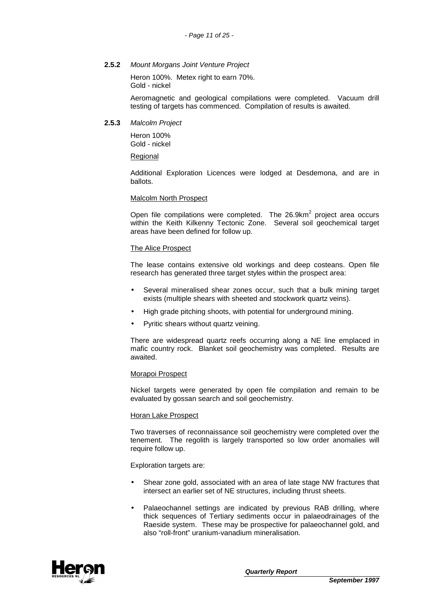**2.5.2** Mount Morgans Joint Venture Project

Heron 100%. Metex right to earn 70%. Gold - nickel

Aeromagnetic and geological compilations were completed. Vacuum drill testing of targets has commenced. Compilation of results is awaited.

#### **2.5.3** Malcolm Project

Heron 100% Gold - nickel

#### Regional

Additional Exploration Licences were lodged at Desdemona, and are in ballots.

#### Malcolm North Prospect

Open file compilations were completed. The  $26.9$ km<sup>2</sup> project area occurs within the Keith Kilkenny Tectonic Zone. Several soil geochemical target areas have been defined for follow up.

#### The Alice Prospect

The lease contains extensive old workings and deep costeans. Open file research has generated three target styles within the prospect area:

- Several mineralised shear zones occur, such that a bulk mining target exists (multiple shears with sheeted and stockwork quartz veins).
- High grade pitching shoots, with potential for underground mining.
- Pyritic shears without quartz veining.

There are widespread quartz reefs occurring along a NE line emplaced in mafic country rock. Blanket soil geochemistry was completed. Results are awaited.

#### Morapoi Prospect

Nickel targets were generated by open file compilation and remain to be evaluated by gossan search and soil geochemistry.

#### Horan Lake Prospect

Two traverses of reconnaissance soil geochemistry were completed over the tenement. The regolith is largely transported so low order anomalies will require follow up.

Exploration targets are:

- Shear zone gold, associated with an area of late stage NW fractures that intersect an earlier set of NE structures, including thrust sheets.
- Palaeochannel settings are indicated by previous RAB drilling, where thick sequences of Tertiary sediments occur in palaeodrainages of the Raeside system. These may be prospective for palaeochannel gold, and also "roll-front" uranium-vanadium mineralisation.

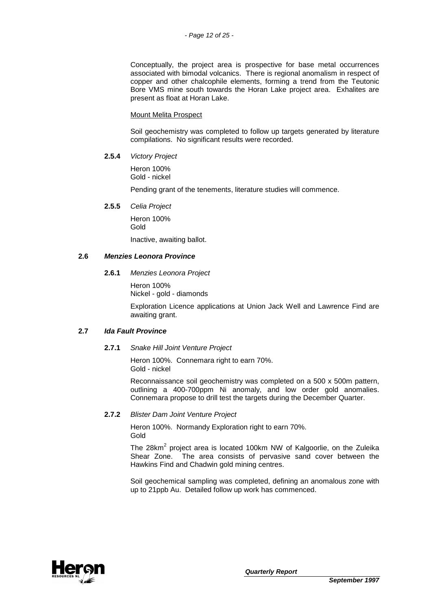Conceptually, the project area is prospective for base metal occurrences associated with bimodal volcanics. There is regional anomalism in respect of copper and other chalcophile elements, forming a trend from the Teutonic Bore VMS mine south towards the Horan Lake project area. Exhalites are present as float at Horan Lake.

#### Mount Melita Prospect

Soil geochemistry was completed to follow up targets generated by literature compilations. No significant results were recorded.

**2.5.4** Victory Project

Heron 100% Gold - nickel

Pending grant of the tenements, literature studies will commence.

#### **2.5.5** Celia Project

Heron 100% Gold

Inactive, awaiting ballot.

#### **2.6 Menzies Leonora Province**

# **2.6.1** Menzies Leonora Project

Heron 100% Nickel - gold - diamonds

Exploration Licence applications at Union Jack Well and Lawrence Find are awaiting grant.

## **2.7 Ida Fault Province**

**2.7.1** Snake Hill Joint Venture Project

Heron 100%. Connemara right to earn 70%. Gold - nickel

Reconnaissance soil geochemistry was completed on a 500 x 500m pattern, outlining a 400-700ppm Ni anomaly, and low order gold anomalies. Connemara propose to drill test the targets during the December Quarter.

#### **2.7.2** Blister Dam Joint Venture Project

Heron 100%. Normandy Exploration right to earn 70%. Gold

The 28km<sup>2</sup> project area is located 100km NW of Kalgoorlie, on the Zuleika Shear Zone. The area consists of pervasive sand cover between the Hawkins Find and Chadwin gold mining centres.

Soil geochemical sampling was completed, defining an anomalous zone with up to 21ppb Au. Detailed follow up work has commenced.

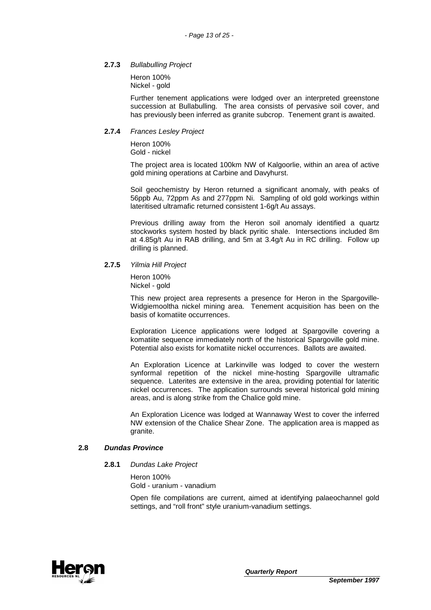#### **2.7.3** Bullabulling Project

Heron 100% Nickel - gold

Further tenement applications were lodged over an interpreted greenstone succession at Bullabulling. The area consists of pervasive soil cover, and has previously been inferred as granite subcrop. Tenement grant is awaited.

#### **2.7.4** Frances Lesley Project

Heron 100% Gold - nickel

The project area is located 100km NW of Kalgoorlie, within an area of active gold mining operations at Carbine and Davyhurst.

Soil geochemistry by Heron returned a significant anomaly, with peaks of 56ppb Au, 72ppm As and 277ppm Ni. Sampling of old gold workings within lateritised ultramafic returned consistent 1-6g/t Au assays.

Previous drilling away from the Heron soil anomaly identified a quartz stockworks system hosted by black pyritic shale. Intersections included 8m at 4.85g/t Au in RAB drilling, and 5m at 3.4g/t Au in RC drilling. Follow up drilling is planned.

#### **2.7.5** Yilmia Hill Project

Heron 100% Nickel - gold

This new project area represents a presence for Heron in the Spargoville-Widgiemooltha nickel mining area. Tenement acquisition has been on the basis of komatiite occurrences.

Exploration Licence applications were lodged at Spargoville covering a komatiite sequence immediately north of the historical Spargoville gold mine. Potential also exists for komatiite nickel occurrences. Ballots are awaited.

An Exploration Licence at Larkinville was lodged to cover the western synformal repetition of the nickel mine-hosting Spargoville ultramafic sequence. Laterites are extensive in the area, providing potential for lateritic nickel occurrences. The application surrounds several historical gold mining areas, and is along strike from the Chalice gold mine.

An Exploration Licence was lodged at Wannaway West to cover the inferred NW extension of the Chalice Shear Zone. The application area is mapped as granite.

## **2.8 Dundas Province**

#### **2.8.1** Dundas Lake Project

Heron 100% Gold - uranium - vanadium

Open file compilations are current, aimed at identifying palaeochannel gold settings, and "roll front" style uranium-vanadium settings.

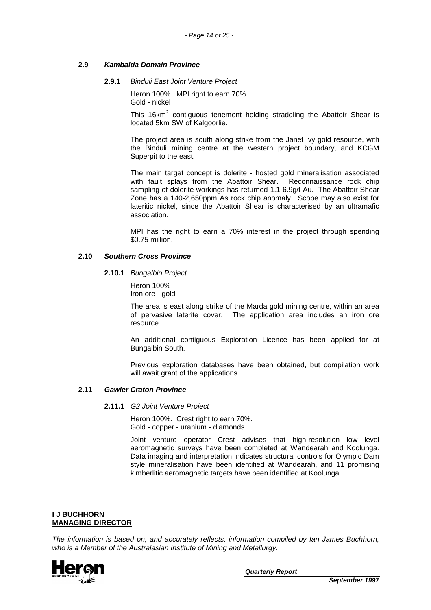#### **2.9 Kambalda Domain Province**

#### **2.9.1** Binduli East Joint Venture Project

Heron 100%. MPI right to earn 70%. Gold - nickel

This 16 $km^2$  contiguous tenement holding straddling the Abattoir Shear is located 5km SW of Kalgoorlie.

The project area is south along strike from the Janet Ivy gold resource, with the Binduli mining centre at the western project boundary, and KCGM Superpit to the east.

The main target concept is dolerite - hosted gold mineralisation associated with fault splays from the Abattoir Shear. Reconnaissance rock chip sampling of dolerite workings has returned 1.1-6.9g/t Au. The Abattoir Shear Zone has a 140-2,650ppm As rock chip anomaly. Scope may also exist for lateritic nickel, since the Abattoir Shear is characterised by an ultramafic association.

MPI has the right to earn a 70% interest in the project through spending \$0.75 million.

#### **2.10 Southern Cross Province**

#### **2.10.1** Bungalbin Project

Heron 100% Iron ore - gold

The area is east along strike of the Marda gold mining centre, within an area of pervasive laterite cover. The application area includes an iron ore resource.

An additional contiguous Exploration Licence has been applied for at Bungalbin South.

Previous exploration databases have been obtained, but compilation work will await grant of the applications.

#### **2.11 Gawler Craton Province**

#### **2.11.1** G2 Joint Venture Project

Heron 100%. Crest right to earn 70%. Gold - copper - uranium - diamonds

Joint venture operator Crest advises that high-resolution low level aeromagnetic surveys have been completed at Wandearah and Koolunga. Data imaging and interpretation indicates structural controls for Olympic Dam style mineralisation have been identified at Wandearah, and 11 promising kimberlitic aeromagnetic targets have been identified at Koolunga.

#### **I J BUCHHORN MANAGING DIRECTOR**

The information is based on, and accurately reflects, information compiled by Ian James Buchhorn, who is a Member of the Australasian Institute of Mining and Metallurgy.

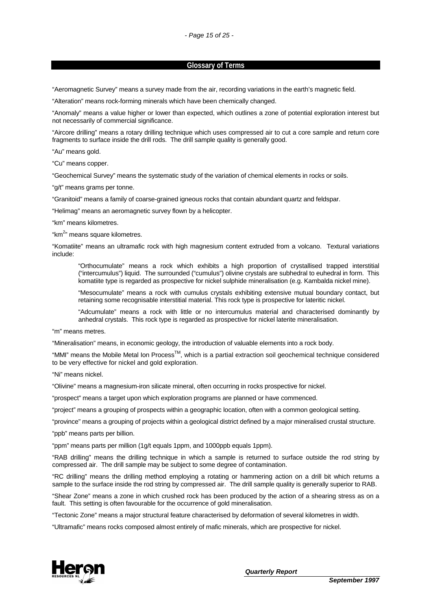#### **Glossary of Terms**

"Aeromagnetic Survey" means a survey made from the air, recording variations in the earth's magnetic field.

"Alteration" means rock-forming minerals which have been chemically changed.

"Anomaly" means a value higher or lower than expected, which outlines a zone of potential exploration interest but not necessarily of commercial significance.

"Aircore drilling" means a rotary drilling technique which uses compressed air to cut a core sample and return core fragments to surface inside the drill rods. The drill sample quality is generally good.

"Au" means gold.

"Cu" means copper.

"Geochemical Survey" means the systematic study of the variation of chemical elements in rocks or soils.

"g/t" means grams per tonne.

"Granitoid" means a family of coarse-grained igneous rocks that contain abundant quartz and feldspar.

"Helimag" means an aeromagnetic survey flown by a helicopter.

"km" means kilometres.

"km<sup>2</sup>" means square kilometres.

"Komatiite" means an ultramafic rock with high magnesium content extruded from a volcano. Textural variations include:

"Orthocumulate" means a rock which exhibits a high proportion of crystallised trapped interstitial ("intercumulus") liquid. The surrounded ("cumulus") olivine crystals are subhedral to euhedral in form. This komatiite type is regarded as prospective for nickel sulphide mineralisation (e.g. Kambalda nickel mine).

"Mesocumulate" means a rock with cumulus crystals exhibiting extensive mutual boundary contact, but retaining some recognisable interstitial material. This rock type is prospective for lateritic nickel.

"Adcumulate" means a rock with little or no intercumulus material and characterised dominantly by anhedral crystals. This rock type is regarded as prospective for nickel laterite mineralisation.

"m" means metres.

"Mineralisation" means, in economic geology, the introduction of valuable elements into a rock body.

"MMI" means the Mobile Metal Ion Process<sup>TM</sup>, which is a partial extraction soil geochemical technique considered to be very effective for nickel and gold exploration.

"Ni" means nickel.

"Olivine" means a magnesium-iron silicate mineral, often occurring in rocks prospective for nickel.

"prospect" means a target upon which exploration programs are planned or have commenced.

"project" means a grouping of prospects within a geographic location, often with a common geological setting.

"province" means a grouping of projects within a geological district defined by a major mineralised crustal structure.

"ppb" means parts per billion.

"ppm" means parts per million (1g/t equals 1ppm, and 1000ppb equals 1ppm).

"RAB drilling" means the drilling technique in which a sample is returned to surface outside the rod string by compressed air. The drill sample may be subject to some degree of contamination.

"RC drilling" means the drilling method employing a rotating or hammering action on a drill bit which returns a sample to the surface inside the rod string by compressed air. The drill sample quality is generally superior to RAB.

"Shear Zone" means a zone in which crushed rock has been produced by the action of a shearing stress as on a fault. This setting is often favourable for the occurrence of gold mineralisation.

"Tectonic Zone" means a major structural feature characterised by deformation of several kilometres in width.

"Ultramafic" means rocks composed almost entirely of mafic minerals, which are prospective for nickel.

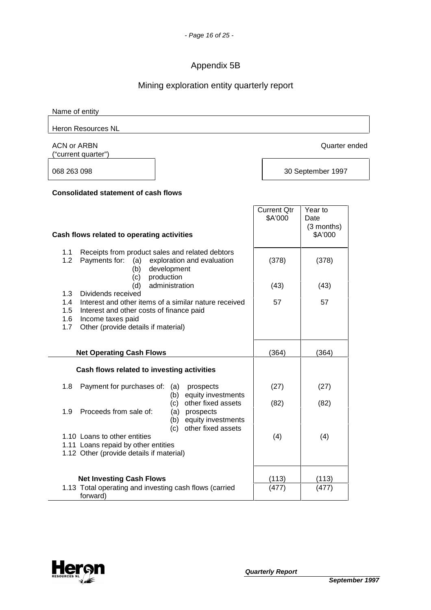# Appendix 5B

# Mining exploration entity quarterly report

Name of entity Heron Resources NL ACN or ARBN Quarter ended ("current quarter") 068 263 098 30 September 1997 **Consolidated statement of cash flows Cash flows related to operating activities** Current Qtr \$A'000 Year to **Date** (3 months) \$A'000 1.1 Receipts from product sales and related debtors 1.2 Payments for: (a) exploration and evaluation | (378) | (378) (b) development (c) production  $(d)$  administration  $(43)$   $(43)$   $(43)$  1.3 Dividends received 1.4 Interest and other items of a similar nature received | 57 | 57 1.5 Interest and other costs of finance paid 1.6 Income taxes paid 1.7 Other (provide details if material) **Net Operating Cash Flows** (364) (364) (364) **Cash flows related to investing activities**  1.8 Payment for purchases of: (a) prospects | (27) | (27) (b) equity investments (c) other fixed assets  $(82)$   $(82)$   $(82)$ 1.9 Proceeds from sale of: (b) equity investments (c) other fixed assets 1.10 Loans to other entities (4) (4) (4) (4) 1.11 Loans repaid by other entities 1.12 Other (provide details if material) **Net Investing Cash Flows** (113) (113) (113) 1.13 Total operating and investing cash flows (carried forward) (477) (477)

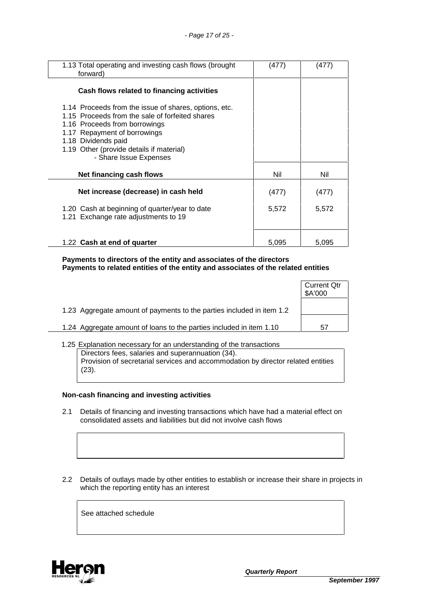| 1.13 Total operating and investing cash flows (brought<br>forward)                                                                                                                                                                                                     | (477  | 477   |
|------------------------------------------------------------------------------------------------------------------------------------------------------------------------------------------------------------------------------------------------------------------------|-------|-------|
| Cash flows related to financing activities                                                                                                                                                                                                                             |       |       |
| 1.14 Proceeds from the issue of shares, options, etc.<br>1.15 Proceeds from the sale of forfeited shares<br>1.16 Proceeds from borrowings<br>1.17 Repayment of borrowings<br>1.18 Dividends paid<br>1.19 Other (provide details if material)<br>- Share Issue Expenses |       |       |
| Net financing cash flows                                                                                                                                                                                                                                               | Nil   | Nil   |
| Net increase (decrease) in cash held                                                                                                                                                                                                                                   | (477) | (477) |
| 1.20 Cash at beginning of quarter/year to date<br>1.21 Exchange rate adjustments to 19                                                                                                                                                                                 | 5,572 | 5,572 |
| 1.22 Cash at end of quarter                                                                                                                                                                                                                                            | 5,095 | 5,095 |

 **Payments to directors of the entity and associates of the directors Payments to related entities of the entity and associates of the related entities** 

|                                                                       | <b>Current Qtr</b><br>\$A'000 |
|-----------------------------------------------------------------------|-------------------------------|
| 1.23 Aggregate amount of payments to the parties included in item 1.2 |                               |
| 1.24 Aggregate amount of loans to the parties included in item 1.10   | 57                            |

# 1.25 Explanation necessary for an understanding of the transactions

 Directors fees, salaries and superannuation (34). Provision of secretarial services and accommodation by director related entities (23).

#### **Non-cash financing and investing activities**

- 2.1 Details of financing and investing transactions which have had a material effect on consolidated assets and liabilities but did not involve cash flows
- 2.2 Details of outlays made by other entities to establish or increase their share in projects in which the reporting entity has an interest

See attached schedule

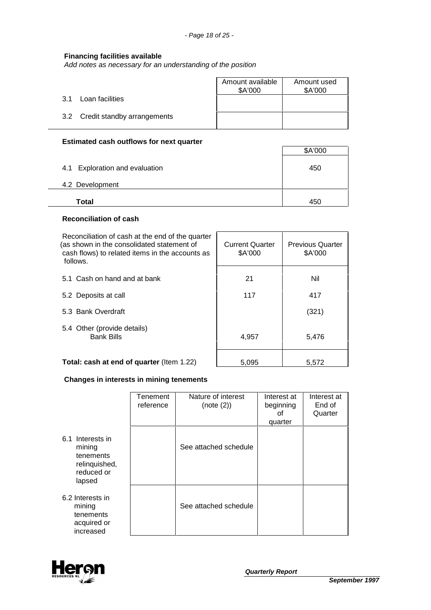# **Financing facilities available**

Add notes as necessary for an understanding of the position

|                                 | Amount available<br>\$A'000 | Amount used<br>\$A'000 |
|---------------------------------|-----------------------------|------------------------|
| Loan facilities<br>3.1          |                             |                        |
| 3.2 Credit standby arrangements |                             |                        |

# **Estimated cash outflows for next quarter**

|                                | \$A'000 |
|--------------------------------|---------|
| 4.1 Exploration and evaluation | 450     |
| 4.2 Development                |         |
| Total                          | 450     |

 $\mathbf{r}$ 

# **Reconciliation of cash**

| Reconciliation of cash at the end of the quarter<br>(as shown in the consolidated statement of<br>cash flows) to related items in the accounts as<br>follows. | <b>Current Quarter</b><br>\$A'000 | <b>Previous Quarter</b><br>\$A'000 |
|---------------------------------------------------------------------------------------------------------------------------------------------------------------|-----------------------------------|------------------------------------|
| 5.1 Cash on hand and at bank                                                                                                                                  | 21                                | Nil                                |
| 5.2 Deposits at call                                                                                                                                          | 117                               | 417                                |
| 5.3 Bank Overdraft                                                                                                                                            |                                   | (321)                              |
| 5.4 Other (provide details)<br><b>Bank Bills</b>                                                                                                              | 4,957                             | 5,476                              |
| <b>Total: cash at end of quarter</b> (Item 1.22)                                                                                                              | 5,095                             | 5,572                              |

# **Changes in interests in mining tenements**

|                                                                                  | Tenement<br>reference | Nature of interest<br>(note (2)) | Interest at<br>beginning<br>οf<br>quarter | Interest at<br>End of<br>Quarter |
|----------------------------------------------------------------------------------|-----------------------|----------------------------------|-------------------------------------------|----------------------------------|
| 6.1 Interests in<br>mining<br>tenements<br>relinquished,<br>reduced or<br>lapsed |                       | See attached schedule            |                                           |                                  |
| 6.2 Interests in<br>mining<br>tenements<br>acquired or<br>increased              |                       | See attached schedule            |                                           |                                  |

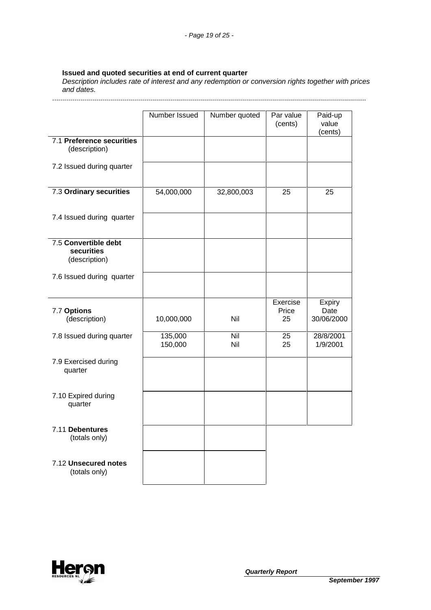#### **Issued and quoted securities at end of current quarter**

 Description includes rate of interest and any redemption or conversion rights together with prices and dates.

.............................................................................................................................................................

|                                                     | Number Issued      | Number quoted | Par value<br>(cents)    | Paid-up<br>value<br>(cents)  |
|-----------------------------------------------------|--------------------|---------------|-------------------------|------------------------------|
| 7.1 Preference securities<br>(description)          |                    |               |                         |                              |
| 7.2 Issued during quarter                           |                    |               |                         |                              |
| 7.3 Ordinary securities                             | 54,000,000         | 32,800,003    | 25                      | 25                           |
| 7.4 Issued during quarter                           |                    |               |                         |                              |
| 7.5 Convertible debt<br>securities<br>(description) |                    |               |                         |                              |
| 7.6 Issued during quarter                           |                    |               |                         |                              |
| 7.7 Options<br>(description)                        | 10,000,000         | Nil           | Exercise<br>Price<br>25 | Expiry<br>Date<br>30/06/2000 |
| 7.8 Issued during quarter                           | 135,000<br>150,000 | Nil<br>Nil    | 25<br>25                | 28/8/2001<br>1/9/2001        |
| 7.9 Exercised during<br>quarter                     |                    |               |                         |                              |
| 7.10 Expired during<br>quarter                      |                    |               |                         |                              |
| 7.11 Debentures<br>(totals only)                    |                    |               |                         |                              |
| 7.12 Unsecured notes<br>(totals only)               |                    |               |                         |                              |

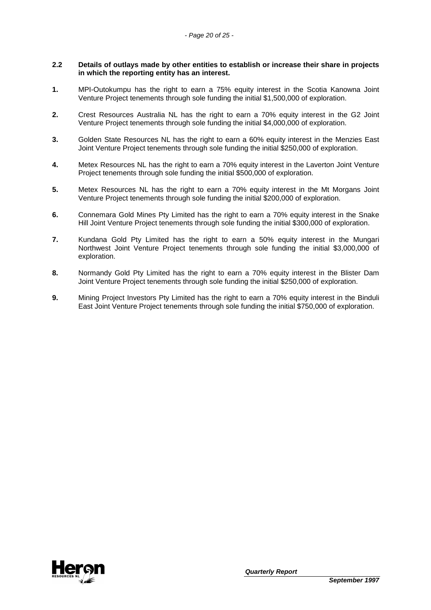#### **2.2 Details of outlays made by other entities to establish or increase their share in projects in which the reporting entity has an interest.**

- **1.** MPI-Outokumpu has the right to earn a 75% equity interest in the Scotia Kanowna Joint Venture Project tenements through sole funding the initial \$1,500,000 of exploration.
- **2.** Crest Resources Australia NL has the right to earn a 70% equity interest in the G2 Joint Venture Project tenements through sole funding the initial \$4,000,000 of exploration.
- **3.** Golden State Resources NL has the right to earn a 60% equity interest in the Menzies East Joint Venture Project tenements through sole funding the initial \$250,000 of exploration.
- **4.** Metex Resources NL has the right to earn a 70% equity interest in the Laverton Joint Venture Project tenements through sole funding the initial \$500,000 of exploration.
- **5.** Metex Resources NL has the right to earn a 70% equity interest in the Mt Morgans Joint Venture Project tenements through sole funding the initial \$200,000 of exploration.
- **6.** Connemara Gold Mines Pty Limited has the right to earn a 70% equity interest in the Snake Hill Joint Venture Project tenements through sole funding the initial \$300,000 of exploration.
- **7.** Kundana Gold Pty Limited has the right to earn a 50% equity interest in the Mungari Northwest Joint Venture Project tenements through sole funding the initial \$3,000,000 of exploration.
- **8.** Normandy Gold Pty Limited has the right to earn a 70% equity interest in the Blister Dam Joint Venture Project tenements through sole funding the initial \$250,000 of exploration.
- **9.** Mining Project Investors Pty Limited has the right to earn a 70% equity interest in the Binduli East Joint Venture Project tenements through sole funding the initial \$750,000 of exploration.

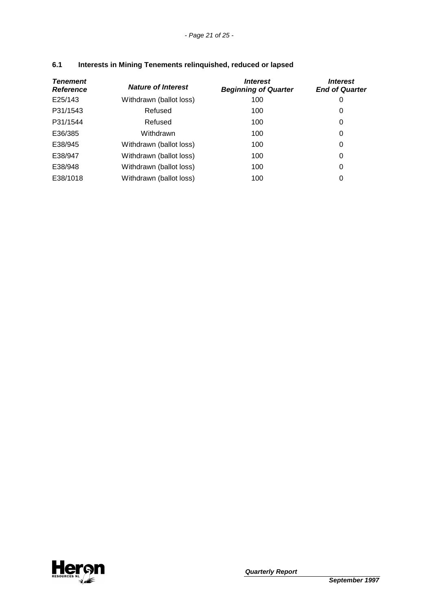| <b>Tenement</b><br><b>Reference</b> | <b>Nature of Interest</b> | <i><b>Interest</b></i><br><b>Beginning of Quarter</b> | <i><b>Interest</b></i><br><b>End of Quarter</b> |
|-------------------------------------|---------------------------|-------------------------------------------------------|-------------------------------------------------|
| E25/143                             | Withdrawn (ballot loss)   | 100                                                   | 0                                               |
| P31/1543                            | Refused                   | 100                                                   | 0                                               |
| P31/1544                            | Refused                   | 100                                                   | 0                                               |
| E36/385                             | Withdrawn                 | 100                                                   | 0                                               |
| E38/945                             | Withdrawn (ballot loss)   | 100                                                   | 0                                               |
| E38/947                             | Withdrawn (ballot loss)   | 100                                                   | 0                                               |
| E38/948                             | Withdrawn (ballot loss)   | 100                                                   | 0                                               |
| E38/1018                            | Withdrawn (ballot loss)   | 100                                                   | 0                                               |

# **6.1 Interests in Mining Tenements relinquished, reduced or lapsed**

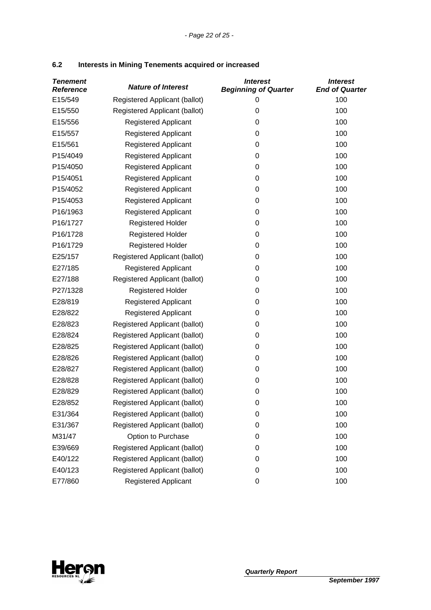| <b>Tenement</b><br><b>Reference</b> | <b>Nature of Interest</b>     | <b>Interest</b><br><b>Beginning of Quarter</b> | <b>Interest</b><br><b>End of Quarter</b> |
|-------------------------------------|-------------------------------|------------------------------------------------|------------------------------------------|
| E15/549                             | Registered Applicant (ballot) | 0                                              | 100                                      |
| E15/550                             | Registered Applicant (ballot) | 0                                              | 100                                      |
| E15/556                             | <b>Registered Applicant</b>   | 0                                              | 100                                      |
| E15/557                             | <b>Registered Applicant</b>   | 0                                              | 100                                      |
| E15/561                             | <b>Registered Applicant</b>   | 0                                              | 100                                      |
| P15/4049                            | <b>Registered Applicant</b>   | 0                                              | 100                                      |
| P15/4050                            | <b>Registered Applicant</b>   | 0                                              | 100                                      |
| P15/4051                            | <b>Registered Applicant</b>   | 0                                              | 100                                      |
| P15/4052                            | <b>Registered Applicant</b>   | 0                                              | 100                                      |
| P15/4053                            | <b>Registered Applicant</b>   | 0                                              | 100                                      |
| P16/1963                            | <b>Registered Applicant</b>   | 0                                              | 100                                      |
| P16/1727                            | <b>Registered Holder</b>      | 0                                              | 100                                      |
| P16/1728                            | <b>Registered Holder</b>      | 0                                              | 100                                      |
| P16/1729                            | Registered Holder             | 0                                              | 100                                      |
| E25/157                             | Registered Applicant (ballot) | 0                                              | 100                                      |
| E27/185                             | <b>Registered Applicant</b>   | 0                                              | 100                                      |
| E27/188                             | Registered Applicant (ballot) | 0                                              | 100                                      |
| P27/1328                            | Registered Holder             | 0                                              | 100                                      |
| E28/819                             | <b>Registered Applicant</b>   | 0                                              | 100                                      |
| E28/822                             | <b>Registered Applicant</b>   | 0                                              | 100                                      |
| E28/823                             | Registered Applicant (ballot) | 0                                              | 100                                      |
| E28/824                             | Registered Applicant (ballot) | 0                                              | 100                                      |
| E28/825                             | Registered Applicant (ballot) | 0                                              | 100                                      |
| E28/826                             | Registered Applicant (ballot) | 0                                              | 100                                      |
| E28/827                             | Registered Applicant (ballot) | 0                                              | 100                                      |
| E28/828                             | Registered Applicant (ballot) | 0                                              | 100                                      |
| E28/829                             | Registered Applicant (ballot) | 0                                              | 100                                      |
| E28/852                             | Registered Applicant (ballot) | 0                                              | 100                                      |
| E31/364                             | Registered Applicant (ballot) | 0                                              | 100                                      |
| E31/367                             | Registered Applicant (ballot) | 0                                              | 100                                      |
| M31/47                              | Option to Purchase            | 0                                              | 100                                      |
| E39/669                             | Registered Applicant (ballot) | 0                                              | 100                                      |
| E40/122                             | Registered Applicant (ballot) | 0                                              | 100                                      |
| E40/123                             | Registered Applicant (ballot) | 0                                              | 100                                      |
| E77/860                             | <b>Registered Applicant</b>   | 0                                              | 100                                      |

# **6.2 Interests in Mining Tenements acquired or increased**